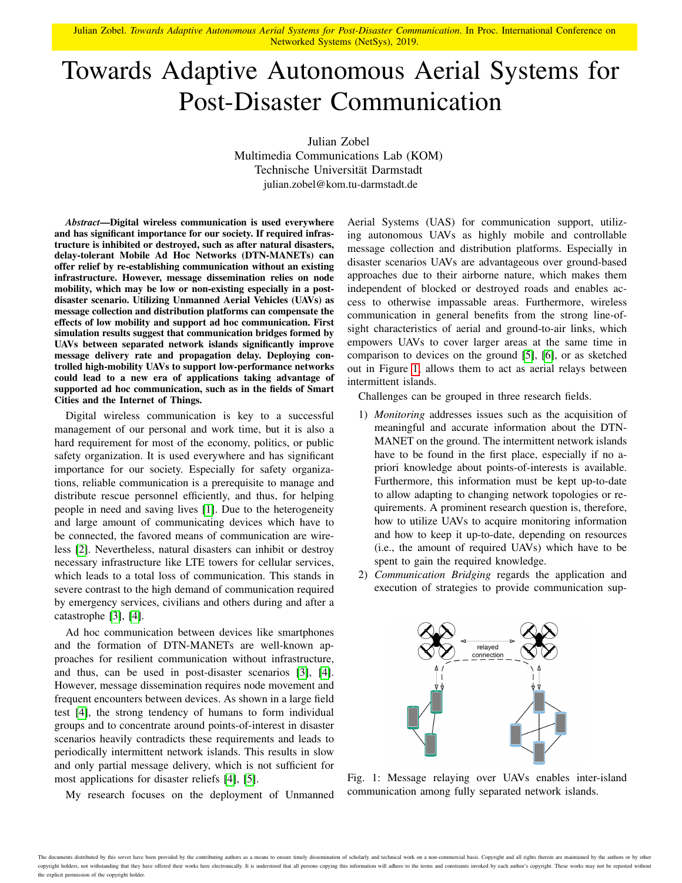Julian Zobel. *Towards Adaptive Autonomous Aerial Systems for Post-Disaster Communication*. In Proc. International Conference on Networked Systems (NetSys), 2019.

## Towards Adaptive Autonomous Aerial Systems for Post-Disaster Communication

Julian Zobel Multimedia Communications Lab (KOM) Technische Universität Darmstadt julian.zobel@kom.tu-darmstadt.de

*Abstract*—Digital wireless communication is used everywhere and has significant importance for our society. If required infrastructure is inhibited or destroyed, such as after natural disasters, delay-tolerant Mobile Ad Hoc Networks (DTN-MANETs) can offer relief by re-establishing communication without an existing infrastructure. However, message dissemination relies on node mobility, which may be low or non-existing especially in a postdisaster scenario. Utilizing Unmanned Aerial Vehicles (UAVs) as message collection and distribution platforms can compensate the effects of low mobility and support ad hoc communication. First simulation results suggest that communication bridges formed by UAVs between separated network islands significantly improve message delivery rate and propagation delay. Deploying controlled high-mobility UAVs to support low-performance networks could lead to a new era of applications taking advantage of supported ad hoc communication, such as in the fields of Smart Cities and the Internet of Things.

Digital wireless communication is key to a successful management of our personal and work time, but it is also a hard requirement for most of the economy, politics, or public safety organization. It is used everywhere and has significant importance for our society. Especially for safety organizations, reliable communication is a prerequisite to manage and distribute rescue personnel efficiently, and thus, for helping people in need and saving lives [\[1\]](#page-1-0). Due to the heterogeneity and large amount of communicating devices which have to be connected, the favored means of communication are wireless [\[2\]](#page-1-1). Nevertheless, natural disasters can inhibit or destroy necessary infrastructure like LTE towers for cellular services, which leads to a total loss of communication. This stands in severe contrast to the high demand of communication required by emergency services, civilians and others during and after a catastrophe [\[3\]](#page-1-2), [\[4\]](#page-1-3).

Ad hoc communication between devices like smartphones and the formation of DTN-MANETs are well-known approaches for resilient communication without infrastructure, and thus, can be used in post-disaster scenarios [\[3\]](#page-1-2), [\[4\]](#page-1-3). However, message dissemination requires node movement and frequent encounters between devices. As shown in a large field test [\[4\]](#page-1-3), the strong tendency of humans to form individual groups and to concentrate around points-of-interest in disaster scenarios heavily contradicts these requirements and leads to periodically intermittent network islands. This results in slow and only partial message delivery, which is not sufficient for most applications for disaster reliefs [\[4\]](#page-1-3), [\[5\]](#page-1-4).

My research focuses on the deployment of Unmanned

Aerial Systems (UAS) for communication support, utilizing autonomous UAVs as highly mobile and controllable message collection and distribution platforms. Especially in disaster scenarios UAVs are advantageous over ground-based approaches due to their airborne nature, which makes them independent of blocked or destroyed roads and enables access to otherwise impassable areas. Furthermore, wireless communication in general benefits from the strong line-ofsight characteristics of aerial and ground-to-air links, which empowers UAVs to cover larger areas at the same time in comparison to devices on the ground [\[5\]](#page-1-4), [\[6\]](#page-1-5), or as sketched out in Figure [1,](#page-0-0) allows them to act as aerial relays between intermittent islands.

Challenges can be grouped in three research fields.

- 1) *Monitoring* addresses issues such as the acquisition of meaningful and accurate information about the DTN-MANET on the ground. The intermittent network islands have to be found in the first place, especially if no apriori knowledge about points-of-interests is available. Furthermore, this information must be kept up-to-date to allow adapting to changing network topologies or requirements. A prominent research question is, therefore, how to utilize UAVs to acquire monitoring information and how to keep it up-to-date, depending on resources (i.e., the amount of required UAVs) which have to be spent to gain the required knowledge.
- <span id="page-0-0"></span>2) *Communication Bridging* regards the application and execution of strategies to provide communication sup-



Fig. 1: Message relaying over UAVs enables inter-island communication among fully separated network islands.

The documents distributed by this server have been provided by the contributing authors as a means to ensure timely dissemination of scholarly and technical work on a non-commercial basis. Copyright and all rights therein copyright holders, not withstanding that they have offered their works here electronically. It is understood that all persons copying this information will adhere to the terms and constraints invoked by each author's copyr the explicit permission of the copyright holder.